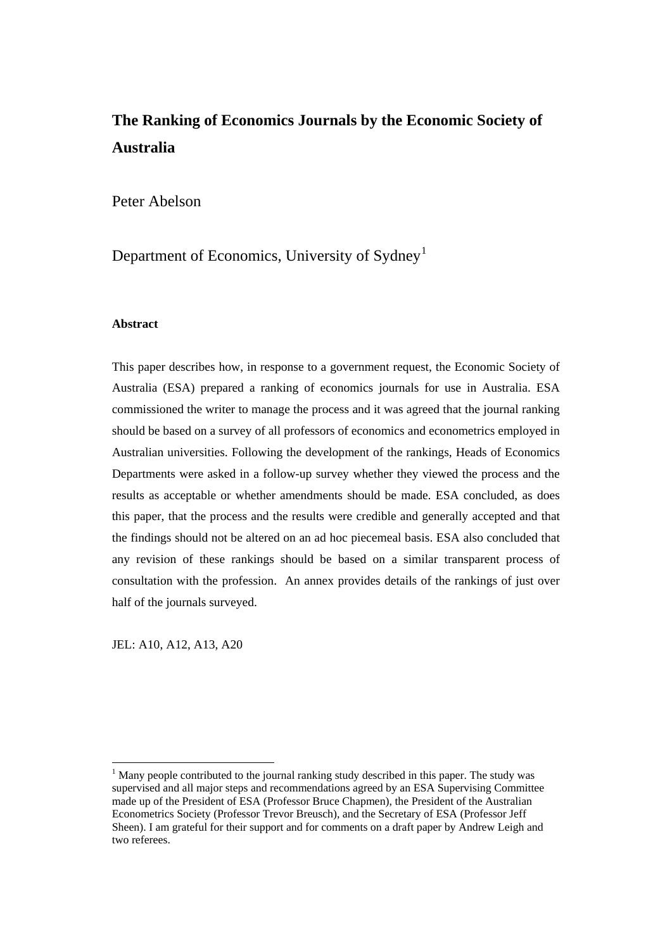# **The Ranking of Economics Journals by the Economic Society of Australia**

## Peter Abelson

Department of Economics, University of Sydney<sup>[1](#page-0-0)</sup>

#### **Abstract**

This paper describes how, in response to a government request, the Economic Society of Australia (ESA) prepared a ranking of economics journals for use in Australia. ESA commissioned the writer to manage the process and it was agreed that the journal ranking should be based on a survey of all professors of economics and econometrics employed in Australian universities. Following the development of the rankings, Heads of Economics Departments were asked in a follow-up survey whether they viewed the process and the results as acceptable or whether amendments should be made. ESA concluded, as does this paper, that the process and the results were credible and generally accepted and that the findings should not be altered on an ad hoc piecemeal basis. ESA also concluded that any revision of these rankings should be based on a similar transparent process of consultation with the profession. An annex provides details of the rankings of just over half of the journals surveyed.

JEL: A10, A12, A13, A20

 $\overline{a}$ 

<span id="page-0-0"></span> $<sup>1</sup>$  Many people contributed to the journal ranking study described in this paper. The study was</sup> supervised and all major steps and recommendations agreed by an ESA Supervising Committee made up of the President of ESA (Professor Bruce Chapmen), the President of the Australian Econometrics Society (Professor Trevor Breusch), and the Secretary of ESA (Professor Jeff Sheen). I am grateful for their support and for comments on a draft paper by Andrew Leigh and two referees.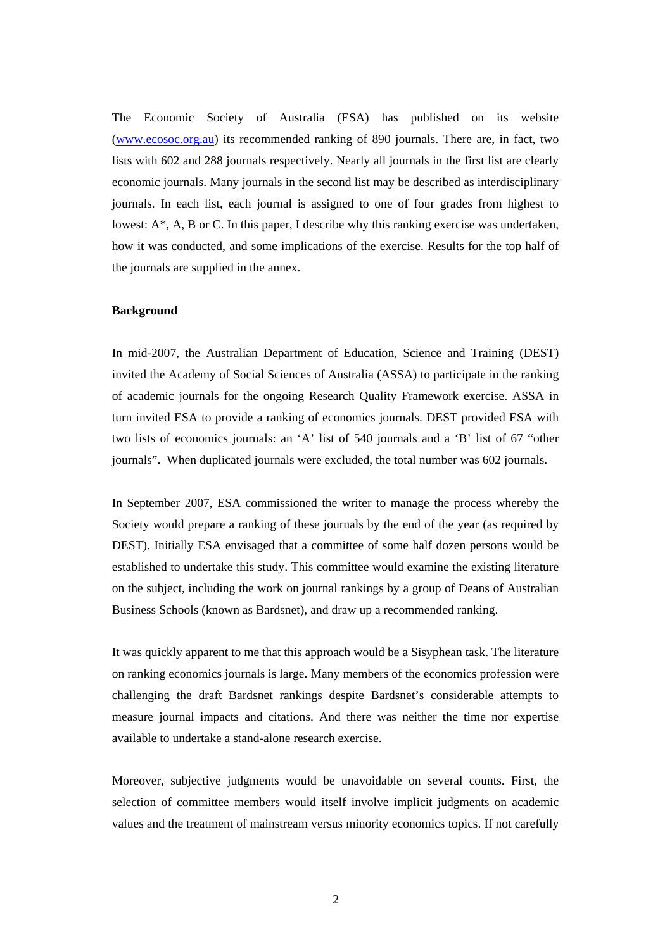The Economic Society of Australia (ESA) has published on its website ([www.ecosoc.org.au\)](http://www.ecosoc.org.au/) its recommended ranking of 890 journals. There are, in fact, two lists with 602 and 288 journals respectively. Nearly all journals in the first list are clearly economic journals. Many journals in the second list may be described as interdisciplinary journals. In each list, each journal is assigned to one of four grades from highest to lowest: A\*, A, B or C. In this paper, I describe why this ranking exercise was undertaken, how it was conducted, and some implications of the exercise. Results for the top half of the journals are supplied in the annex.

#### **Background**

In mid-2007, the Australian Department of Education, Science and Training (DEST) invited the Academy of Social Sciences of Australia (ASSA) to participate in the ranking of academic journals for the ongoing Research Quality Framework exercise. ASSA in turn invited ESA to provide a ranking of economics journals. DEST provided ESA with two lists of economics journals: an 'A' list of 540 journals and a 'B' list of 67 "other journals". When duplicated journals were excluded, the total number was 602 journals.

In September 2007, ESA commissioned the writer to manage the process whereby the Society would prepare a ranking of these journals by the end of the year (as required by DEST). Initially ESA envisaged that a committee of some half dozen persons would be established to undertake this study. This committee would examine the existing literature on the subject, including the work on journal rankings by a group of Deans of Australian Business Schools (known as Bardsnet), and draw up a recommended ranking.

It was quickly apparent to me that this approach would be a Sisyphean task. The literature on ranking economics journals is large. Many members of the economics profession were challenging the draft Bardsnet rankings despite Bardsnet's considerable attempts to measure journal impacts and citations. And there was neither the time nor expertise available to undertake a stand-alone research exercise.

Moreover, subjective judgments would be unavoidable on several counts. First, the selection of committee members would itself involve implicit judgments on academic values and the treatment of mainstream versus minority economics topics. If not carefully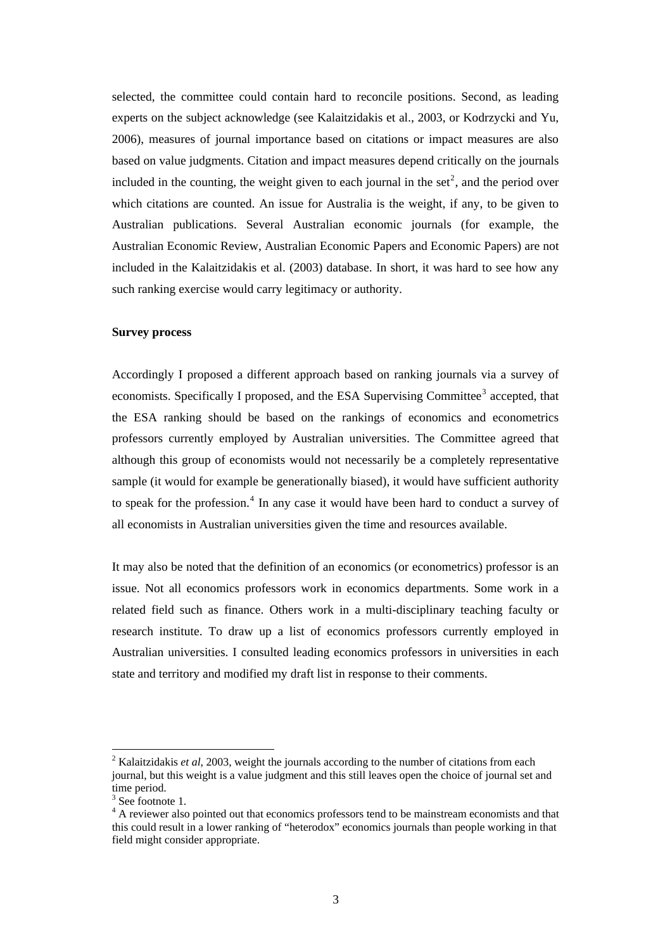selected, the committee could contain hard to reconcile positions. Second, as leading experts on the subject acknowledge (see Kalaitzidakis et al., 2003, or Kodrzycki and Yu, 2006), measures of journal importance based on citations or impact measures are also based on value judgments. Citation and impact measures depend critically on the journals included in the counting, the weight given to each journal in the set<sup>[2](#page-2-0)</sup>, and the period over which citations are counted. An issue for Australia is the weight, if any, to be given to Australian publications. Several Australian economic journals (for example, the Australian Economic Review, Australian Economic Papers and Economic Papers) are not included in the Kalaitzidakis et al. (2003) database. In short, it was hard to see how any such ranking exercise would carry legitimacy or authority.

#### **Survey process**

Accordingly I proposed a different approach based on ranking journals via a survey of economists. Specifically I proposed, and the ESA Supervising Committee<sup>[3](#page-2-1)</sup> accepted, that the ESA ranking should be based on the rankings of economics and econometrics professors currently employed by Australian universities. The Committee agreed that although this group of economists would not necessarily be a completely representative sample (it would for example be generationally biased), it would have sufficient authority to speak for the profession.<sup>[4](#page-2-2)</sup> In any case it would have been hard to conduct a survey of all economists in Australian universities given the time and resources available.

It may also be noted that the definition of an economics (or econometrics) professor is an issue. Not all economics professors work in economics departments. Some work in a related field such as finance. Others work in a multi-disciplinary teaching faculty or research institute. To draw up a list of economics professors currently employed in Australian universities. I consulted leading economics professors in universities in each state and territory and modified my draft list in response to their comments.

 $\overline{a}$ 

<span id="page-2-0"></span><sup>&</sup>lt;sup>2</sup> Kalaitzidakis *et al*, 2003, weight the journals according to the number of citations from each journal, but this weight is a value judgment and this still leaves open the choice of journal set and time period.

<sup>&</sup>lt;sup>3</sup> See footnote 1.

<span id="page-2-2"></span><span id="page-2-1"></span><sup>&</sup>lt;sup>4</sup> A reviewer also pointed out that economics professors tend to be mainstream economists and that this could result in a lower ranking of "heterodox" economics journals than people working in that field might consider appropriate.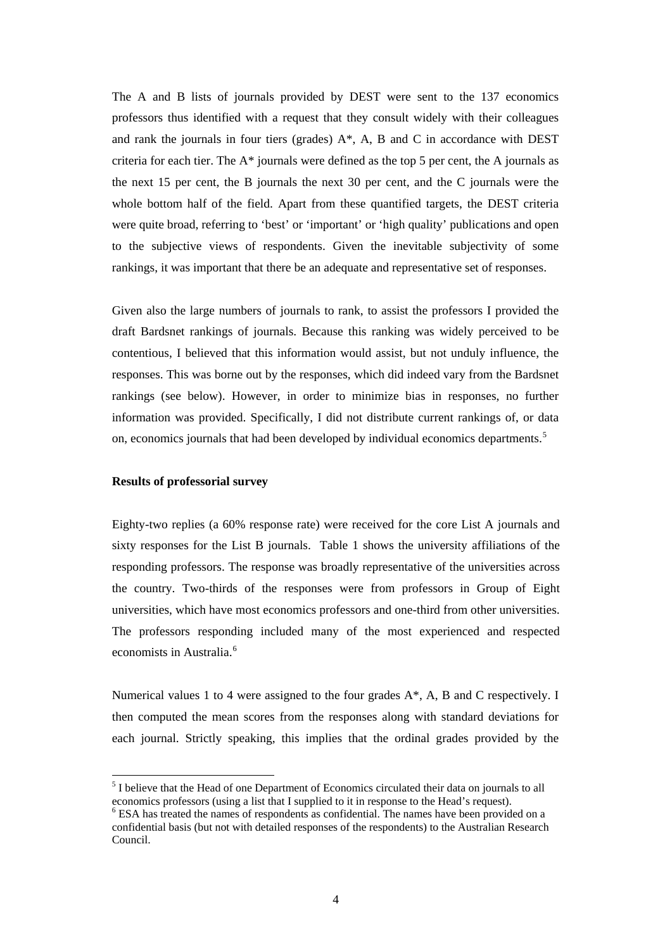The A and B lists of journals provided by DEST were sent to the 137 economics professors thus identified with a request that they consult widely with their colleagues and rank the journals in four tiers (grades) A\*, A, B and C in accordance with DEST criteria for each tier. The A\* journals were defined as the top 5 per cent, the A journals as the next 15 per cent, the B journals the next 30 per cent, and the C journals were the whole bottom half of the field. Apart from these quantified targets, the DEST criteria were quite broad, referring to 'best' or 'important' or 'high quality' publications and open to the subjective views of respondents. Given the inevitable subjectivity of some rankings, it was important that there be an adequate and representative set of responses.

Given also the large numbers of journals to rank, to assist the professors I provided the draft Bardsnet rankings of journals. Because this ranking was widely perceived to be contentious, I believed that this information would assist, but not unduly influence, the responses. This was borne out by the responses, which did indeed vary from the Bardsnet rankings (see below). However, in order to minimize bias in responses, no further information was provided. Specifically, I did not distribute current rankings of, or data on, economics journals that had been developed by individual economics departments.<sup>[5](#page-3-0)</sup>

#### **Results of professorial survey**

 $\overline{a}$ 

Eighty-two replies (a 60% response rate) were received for the core List A journals and sixty responses for the List B journals. Table 1 shows the university affiliations of the responding professors. The response was broadly representative of the universities across the country. Two-thirds of the responses were from professors in Group of Eight universities, which have most economics professors and one-third from other universities. The professors responding included many of the most experienced and respected economists in Australia.<sup>[6](#page-3-1)</sup>

Numerical values 1 to 4 were assigned to the four grades A\*, A, B and C respectively. I then computed the mean scores from the responses along with standard deviations for each journal. Strictly speaking, this implies that the ordinal grades provided by the

<span id="page-3-0"></span><sup>&</sup>lt;sup>5</sup> I believe that the Head of one Department of Economics circulated their data on journals to all economics professors (using a list that I supplied to it in response to the Head's request).

<span id="page-3-1"></span><sup>&</sup>lt;sup>6</sup> ESA has treated the names of respondents as confidential. The names have been provided on a confidential basis (but not with detailed responses of the respondents) to the Australian Research Council.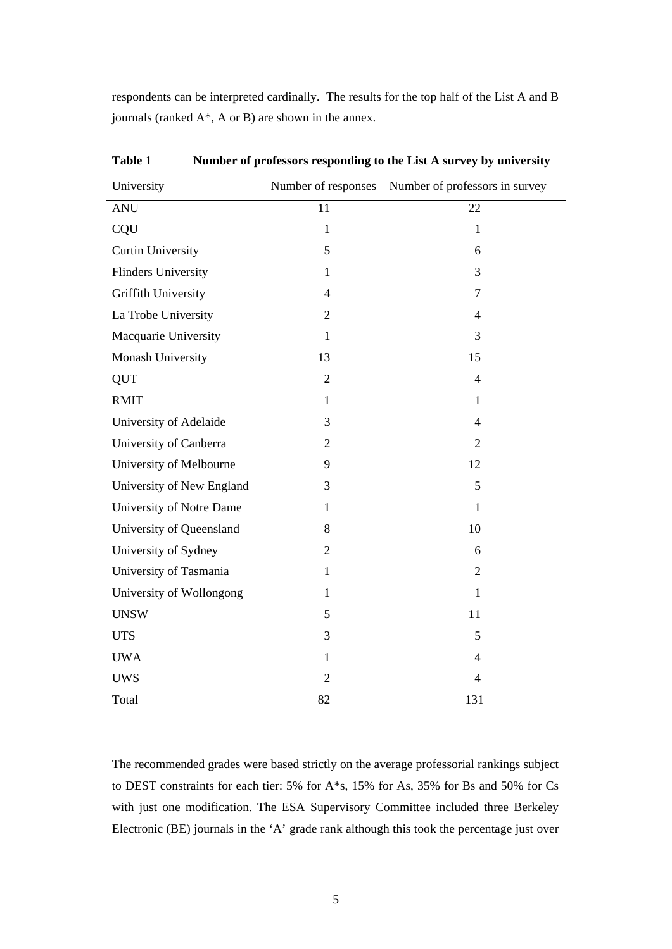respondents can be interpreted cardinally. The results for the top half of the List A and B journals (ranked A\*, A or B) are shown in the annex.

| University                 | Number of responses | Number of professors in survey |  |
|----------------------------|---------------------|--------------------------------|--|
| <b>ANU</b>                 | 11                  | 22                             |  |
| CQU                        | $\mathbf{1}$        | $\mathbf{1}$                   |  |
| <b>Curtin University</b>   | 5                   | 6                              |  |
| <b>Flinders University</b> | $\mathbf{1}$        | 3                              |  |
| Griffith University        | $\overline{4}$      | $\tau$                         |  |
| La Trobe University        | $\overline{2}$      | $\overline{4}$                 |  |
| Macquarie University       | $\mathbf{1}$        | 3                              |  |
| Monash University          | 13                  | 15                             |  |
| QUT                        | $\overline{2}$      | $\overline{4}$                 |  |
| <b>RMIT</b>                | $\mathbf{1}$        | 1                              |  |
| University of Adelaide     | 3                   | $\overline{4}$                 |  |
| University of Canberra     | $\overline{2}$      | $\overline{2}$                 |  |
| University of Melbourne    | 9                   | 12                             |  |
| University of New England  | 3                   | 5                              |  |
| University of Notre Dame   | $\mathbf{1}$        | $\mathbf{1}$                   |  |
| University of Queensland   | 8                   | 10                             |  |
| University of Sydney       | $\mathfrak{2}$      | 6                              |  |
| University of Tasmania     | $\mathbf{1}$        | $\mathfrak{2}$                 |  |
| University of Wollongong   | $\mathbf{1}$        | $\mathbf{1}$                   |  |
| <b>UNSW</b>                | 5                   | 11                             |  |
| <b>UTS</b>                 | 3                   | 5                              |  |
| <b>UWA</b>                 | $\mathbf{1}$        | $\overline{4}$                 |  |
| <b>UWS</b>                 | $\overline{2}$      | $\overline{4}$                 |  |
| Total                      | 82                  | 131                            |  |

**Table 1 Number of professors responding to the List A survey by university** 

The recommended grades were based strictly on the average professorial rankings subject to DEST constraints for each tier: 5% for A\*s, 15% for As, 35% for Bs and 50% for Cs with just one modification. The ESA Supervisory Committee included three Berkeley Electronic (BE) journals in the 'A' grade rank although this took the percentage just over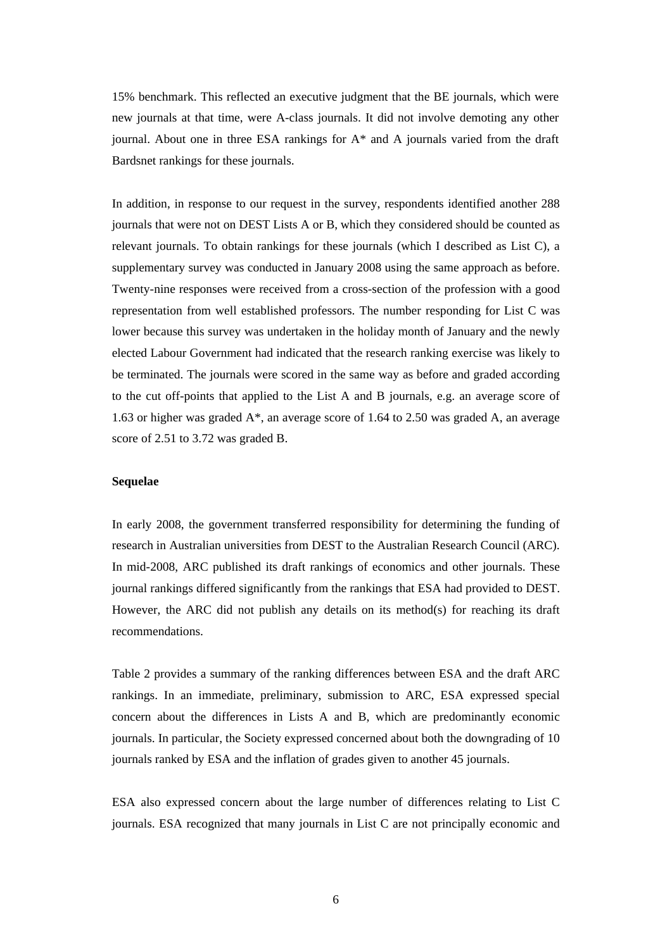15% benchmark. This reflected an executive judgment that the BE journals, which were new journals at that time, were A-class journals. It did not involve demoting any other journal. About one in three ESA rankings for A\* and A journals varied from the draft Bardsnet rankings for these journals.

In addition, in response to our request in the survey, respondents identified another 288 journals that were not on DEST Lists A or B, which they considered should be counted as relevant journals. To obtain rankings for these journals (which I described as List C), a supplementary survey was conducted in January 2008 using the same approach as before. Twenty-nine responses were received from a cross-section of the profession with a good representation from well established professors. The number responding for List C was lower because this survey was undertaken in the holiday month of January and the newly elected Labour Government had indicated that the research ranking exercise was likely to be terminated. The journals were scored in the same way as before and graded according to the cut off-points that applied to the List A and B journals, e.g. an average score of 1.63 or higher was graded A\*, an average score of 1.64 to 2.50 was graded A, an average score of 2.51 to 3.72 was graded B.

#### **Sequelae**

In early 2008, the government transferred responsibility for determining the funding of research in Australian universities from DEST to the Australian Research Council (ARC). In mid-2008, ARC published its draft rankings of economics and other journals. These journal rankings differed significantly from the rankings that ESA had provided to DEST. However, the ARC did not publish any details on its method(s) for reaching its draft recommendations.

Table 2 provides a summary of the ranking differences between ESA and the draft ARC rankings. In an immediate, preliminary, submission to ARC, ESA expressed special concern about the differences in Lists A and B, which are predominantly economic journals. In particular, the Society expressed concerned about both the downgrading of 10 journals ranked by ESA and the inflation of grades given to another 45 journals.

ESA also expressed concern about the large number of differences relating to List C journals. ESA recognized that many journals in List C are not principally economic and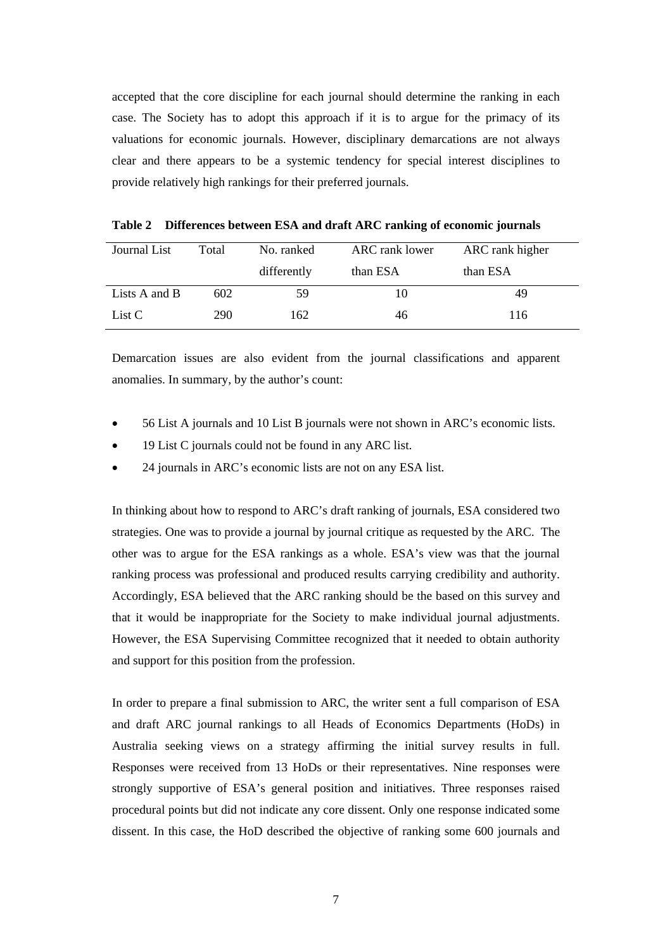accepted that the core discipline for each journal should determine the ranking in each case. The Society has to adopt this approach if it is to argue for the primacy of its valuations for economic journals. However, disciplinary demarcations are not always clear and there appears to be a systemic tendency for special interest disciplines to provide relatively high rankings for their preferred journals.

| Journal List  | Total | No. ranked  | ARC rank lower | ARC rank higher |
|---------------|-------|-------------|----------------|-----------------|
|               |       | differently | than ESA       | than ESA        |
| Lists A and B | 602   | 59          | 10             | 49              |
| List C        | 290   | 162         | 46             | 116             |

**Table 2 Differences between ESA and draft ARC ranking of economic journals** 

Demarcation issues are also evident from the journal classifications and apparent anomalies. In summary, by the author's count:

- 56 List A journals and 10 List B journals were not shown in ARC's economic lists.
- 19 List C journals could not be found in any ARC list.
- 24 journals in ARC's economic lists are not on any ESA list.

In thinking about how to respond to ARC's draft ranking of journals, ESA considered two strategies. One was to provide a journal by journal critique as requested by the ARC. The other was to argue for the ESA rankings as a whole. ESA's view was that the journal ranking process was professional and produced results carrying credibility and authority. Accordingly, ESA believed that the ARC ranking should be the based on this survey and that it would be inappropriate for the Society to make individual journal adjustments. However, the ESA Supervising Committee recognized that it needed to obtain authority and support for this position from the profession.

In order to prepare a final submission to ARC, the writer sent a full comparison of ESA and draft ARC journal rankings to all Heads of Economics Departments (HoDs) in Australia seeking views on a strategy affirming the initial survey results in full. Responses were received from 13 HoDs or their representatives. Nine responses were strongly supportive of ESA's general position and initiatives. Three responses raised procedural points but did not indicate any core dissent. Only one response indicated some dissent. In this case, the HoD described the objective of ranking some 600 journals and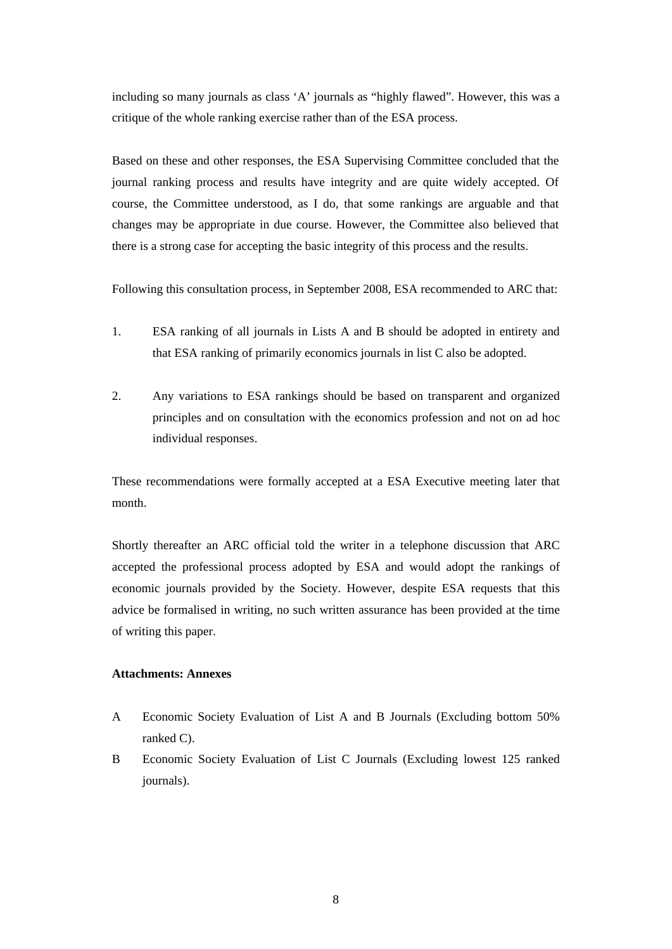including so many journals as class 'A' journals as "highly flawed". However, this was a critique of the whole ranking exercise rather than of the ESA process.

Based on these and other responses, the ESA Supervising Committee concluded that the journal ranking process and results have integrity and are quite widely accepted. Of course, the Committee understood, as I do, that some rankings are arguable and that changes may be appropriate in due course. However, the Committee also believed that there is a strong case for accepting the basic integrity of this process and the results.

Following this consultation process, in September 2008, ESA recommended to ARC that:

- 1. ESA ranking of all journals in Lists A and B should be adopted in entirety and that ESA ranking of primarily economics journals in list C also be adopted.
- 2. Any variations to ESA rankings should be based on transparent and organized principles and on consultation with the economics profession and not on ad hoc individual responses.

These recommendations were formally accepted at a ESA Executive meeting later that month.

Shortly thereafter an ARC official told the writer in a telephone discussion that ARC accepted the professional process adopted by ESA and would adopt the rankings of economic journals provided by the Society. However, despite ESA requests that this advice be formalised in writing, no such written assurance has been provided at the time of writing this paper.

### **Attachments: Annexes**

- A Economic Society Evaluation of List A and B Journals (Excluding bottom 50% ranked C).
- B Economic Society Evaluation of List C Journals (Excluding lowest 125 ranked journals).